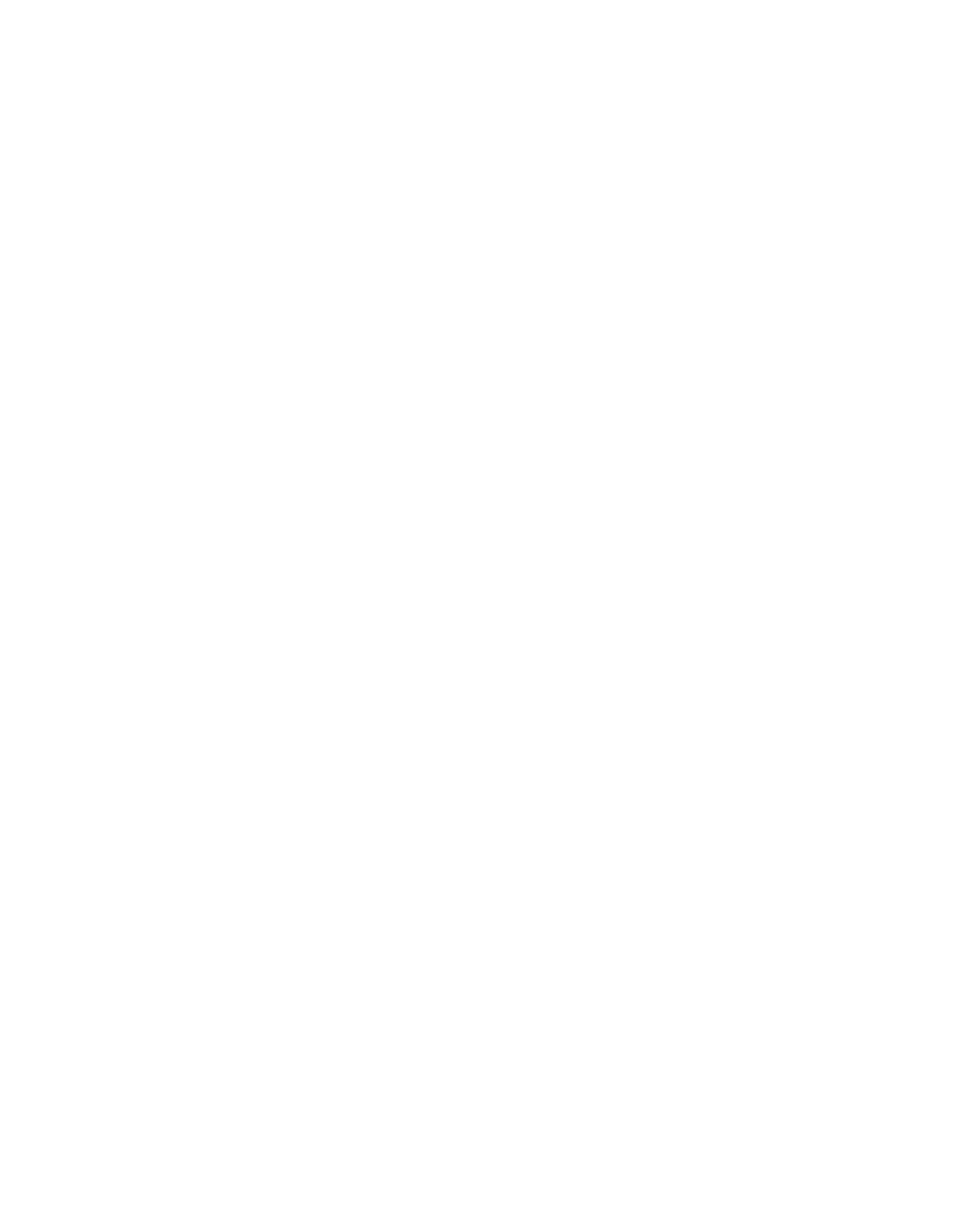



# **Effectiveness of Promotional Strategy Of a Sub-Brand of Robi Udoy Postpaid**



#### **PRESENTED TO:**

**Mr. ShamimEhsanulHaque** Senior Lecturer BRAC Business School BRAC University.

#### **DISSERTATION BY:**

Md. Nahiduzzaman

ID: **09304109**

BRAC Business School BRAC University

**Date of Submission***: 24 January, 2015*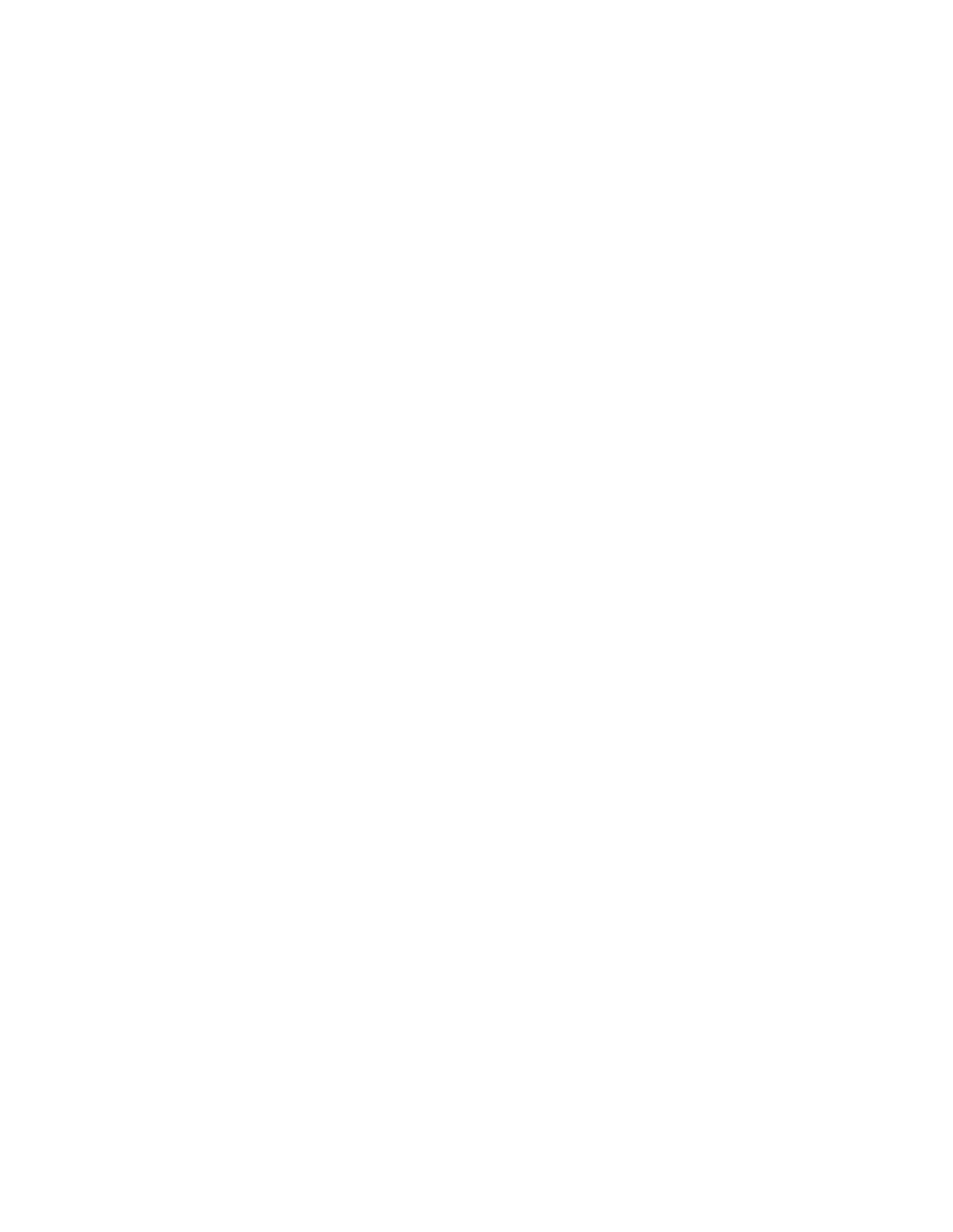

## Letter of Transmittal

*24 January, 2015* Mr. ShamimEhsanulHaque Senior Lecturer BRAC Business School BRAC University.

#### **Subject:** Submission of the report namely**"Effectiveness of Promotional Strategyof a Sub-Brand of RobiUdoy Postpaid."**

Dear Sir

I am really grateful for your kind guidance and instruction to complete the internship report on namely**"Effectiveness of Promotional Strategyof a Sub-Brand of RobiUdoy Postpaid".** I have sincerely analyzed the information and dedicated hard work in completion of this report.

This practice of preparing this report has enriched my practical knowledge with the theoretical concept. I have tried to reflect the practical application aspects with the report, which is complementary to the theoretical lessons.

If you need any further information to evaluate the internship report, it would be my immense pleasure to furnish you the same.

Sincerely yours,

…………………

MD. Nahiduzzaman ID: 09304109 BRAC Business School BRAC University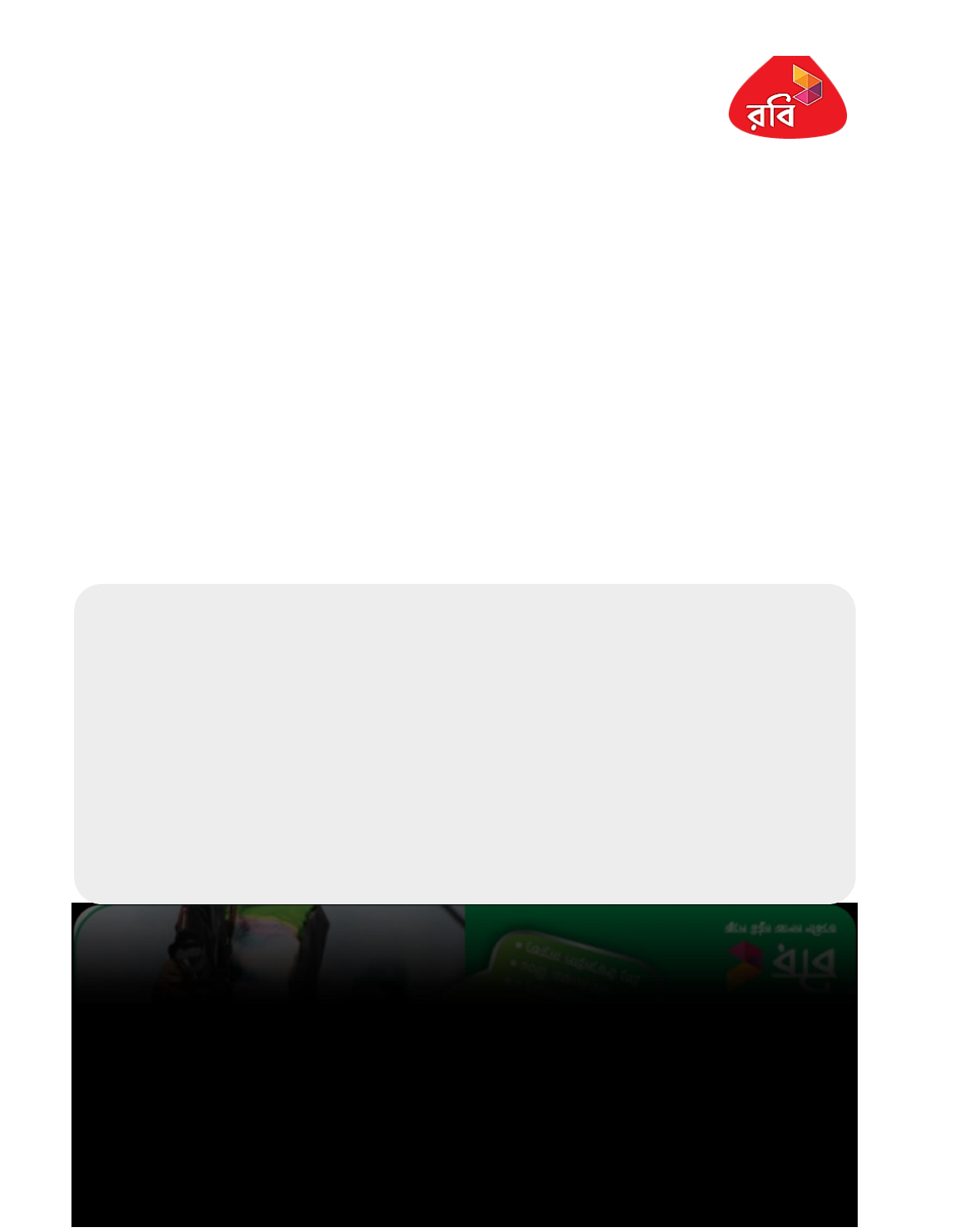

### Acknowledgement

Over couple of years academic program of BBA has helped a lot to build up the theoretical knowledge about business administration, which is the base of practical knowledge. BBA internship program is an attempt to provide business students an orientation to a real life business situation in which we can observe and evaluate the use and applicability of the theoretical concepts, which were taught in the classrooms. My full concentration in this report was to describe the effectiveness of promotional strategy that they had taken for the new sub-brand.

Being an intern of Robi in market and operation department it was convenient for me to compute the report within the organization. I had to gather information and data from other unit such as; Product and Research Team. I was very lucky that I have got full assistance and co-operation from all of the departments.

As per norm this report is the requirement of the fulfillment of the internship program. This report"Effectiveness of Promotional Strategyof a Sub-Brand of RobiUdoy Postpaid"is the outcome of completing internship prerequisite. I have prepared this internship report with the mentioned topic, which was supervised by my academicsupervisor **Mr. ShamimEhsanulHaque,** Senior lecturer, BRAC Business School.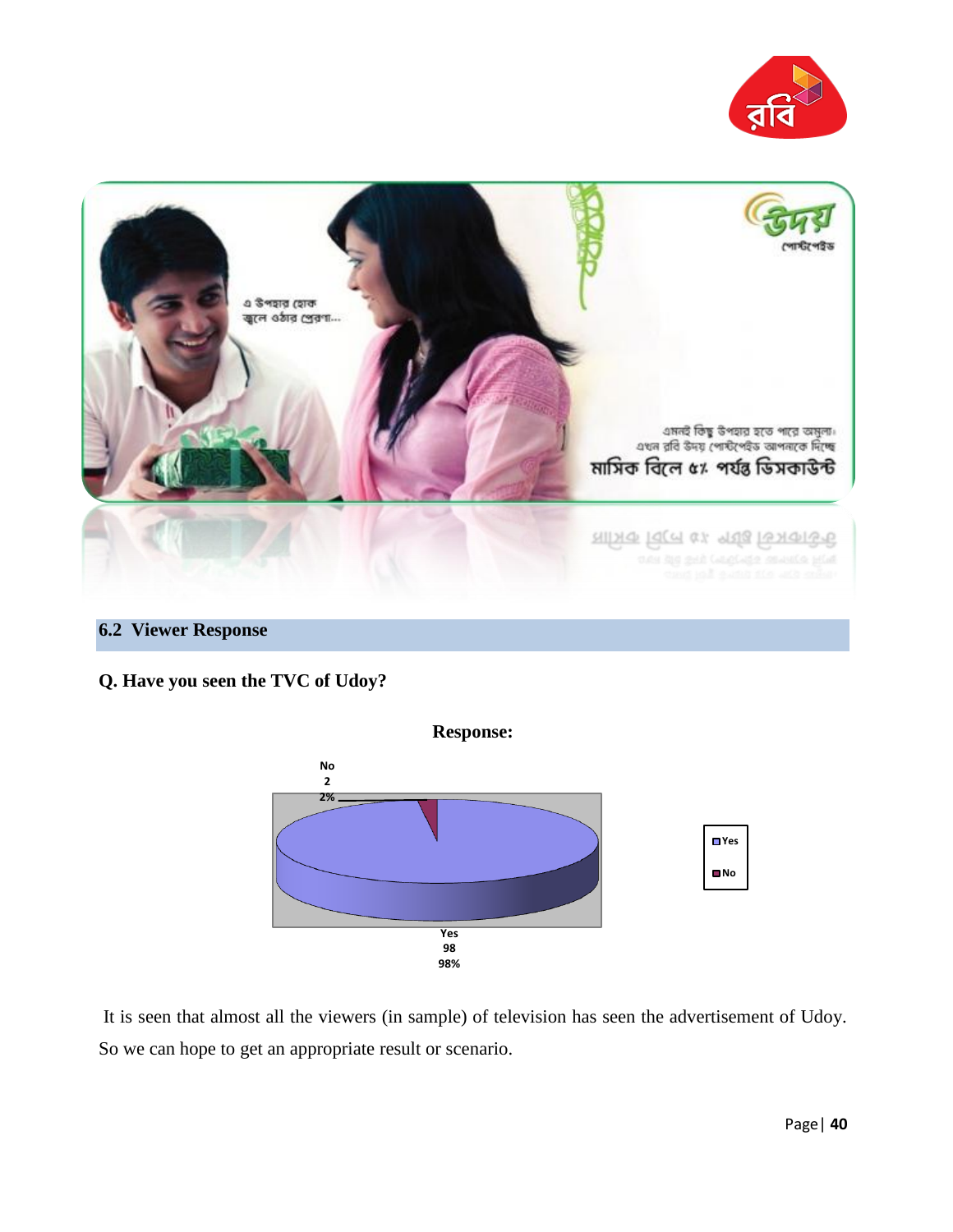

# List of Acronyms

- TVC: Television commercial.
- RDC: Radio commercial.
- BTL: Bellow the line activity.
- POSM: Point of sales materials.
- TG: Target Group.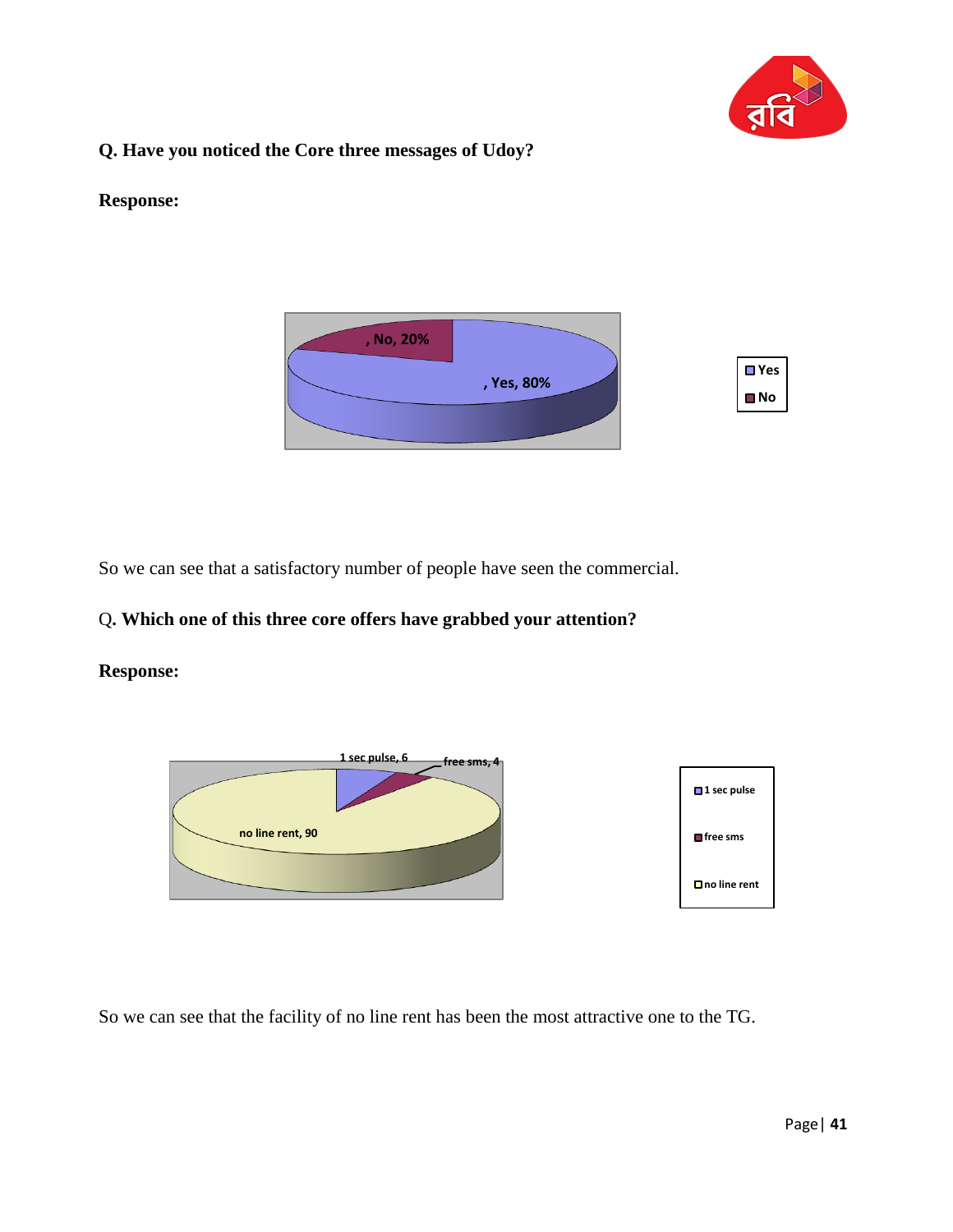

## Executive Summary

This report provides a comprehensive and strategic planning Robi. The report begins describing the company in a broad view. Then I have tried to present some important aspects of the company, like its mission, vision, various divisions of the company that is in total to provide a clear picture of the company Robi.I havealso tried to provide a brief description of the organizational structure of Robi, as well as its achievements, CSRs etc. A SWOT analysis also has been included here.

The most important part of the studyis the promotional strategy taken by one of the renowned telecoms Robi, for its product as well as a full description about the offer, also the reaction of the target group toward Udoypromotion campaign.

Finally, I have discussed about the main topic of the report, that is the promotional strategy that Robi had taken for its postpaid package, Udoy*.*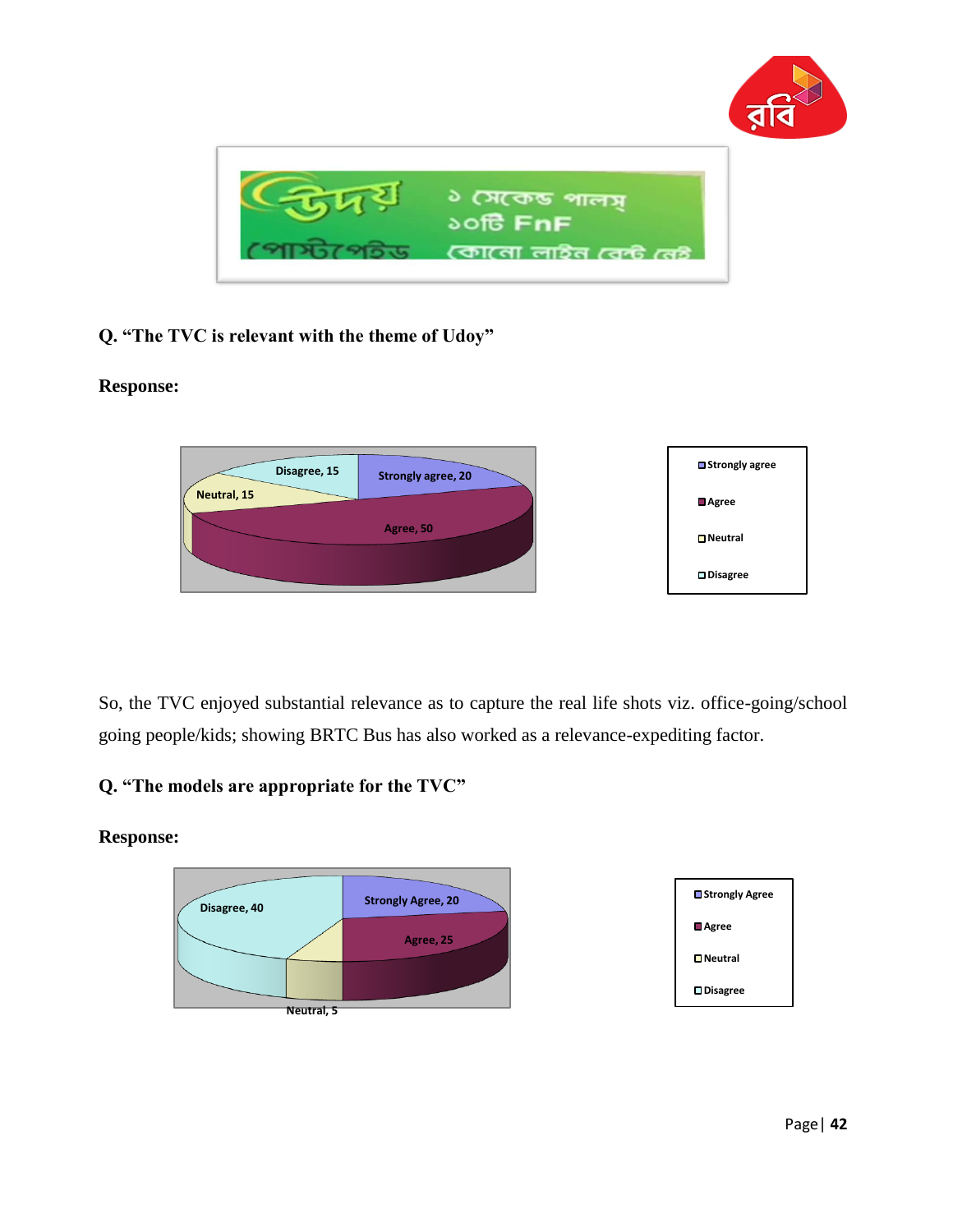# Table of Contents



| <b>CHAPTER</b>   | <b>CONTENTS</b>                          | <b>PAGES</b> |
|------------------|------------------------------------------|--------------|
|                  |                                          |              |
|                  |                                          |              |
|                  | <b>Letter of Transmittal</b>             |              |
|                  | <b>Acknowledgements</b>                  |              |
|                  | <b>List of Acronyms</b>                  |              |
|                  | <b>Executive Summary</b>                 |              |
|                  |                                          |              |
| Chapter 1        | <b>INTRODUCTION</b>                      |              |
|                  |                                          |              |
| $\overline{1.1}$ | Preface                                  | 01           |
| $1.2\,$          | Problem Statement                        | 01           |
| 1.3              | Objective of the study                   | 02           |
| 1.4              | <b>Literature Review</b>                 | 02           |
| $\overline{1.5}$ | Methodology                              | 03           |
| $\overline{1.6}$ | Data Collection                          | 03           |
| $\overline{1.7}$ | Data Analysis and Report Presentation    | 04           |
| 1.8              | Scopes of the report                     | 04           |
| 1.9              | Limitation of the report                 | 04           |
| Chapter 2        | TELECOMMUNICATION INDUSTRY OF BANGLADESH | 05           |
| Chapter 3        | <b>COMPANY OVERVIEW</b>                  | 06           |
| $\overline{3.1}$ | Vision                                   | 08           |
| 3.2              | Mission                                  | 08           |
| 3.3              | Objective                                | ${\bf 08}$   |
| 3.4              | Achievements                             | 11           |
| $\overline{3.5}$ | <b>Corporate Social Activities</b>       | 13           |